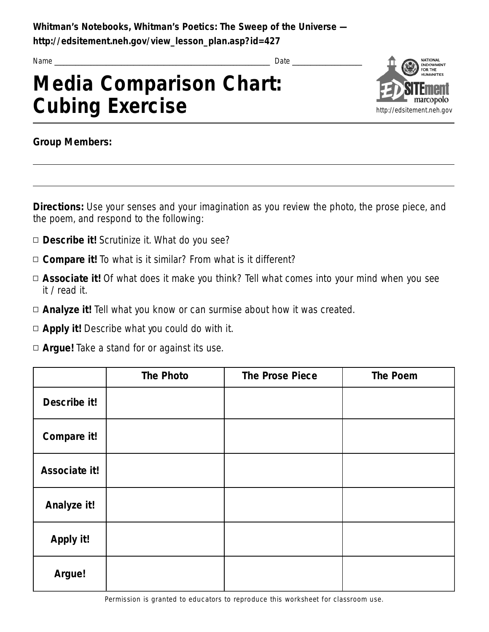**Whitman's Notebooks, Whitman's Poetics: The Sweep of the Universe**  http://edsitement.neh.gov/view\_lesson\_plan.asp?id=427

Name \_ \_ \_ \_ \_ \_ \_ \_ \_ \_ \_ \_ \_ \_ \_ \_ \_ \_ \_ \_ \_ \_ \_ \_ \_ \_ \_ \_ \_ \_ \_ \_ \_ \_ \_ \_ \_ \_ \_ \_ \_ \_ \_ \_ \_ \_ \_ \_ \_ \_ \_ \_ \_ \_ \_ \_ \_ \_ \_ \_ \_ \_ \_ \_ \_ \_ \_ \_ \_ \_ \_ Date \_ \_ \_ \_ \_ \_ \_ \_ \_ \_ \_ \_ \_ \_ \_ \_ \_ \_ \_ \_ \_ \_ \_

## **Media Comparison Chart: Cubing Exercise**



**Group Members:** 

**Directions:** Use your senses and your imagination as you review the photo, the prose piece, and the poem, and respond to the following:

- **Describe it!** Scrutinize it. What do you see?
- □ **Compare it!** To what is it similar? From what is it different?
- □ **Associate it!** Of what does it make you think? Tell what comes into your mind when you see it / read it.
- □ **Analyze it!** Tell what you know or can surmise about how it was created.
- $\Box$  **Apply it!** Describe what you could do with it.
- □ **Argue!** Take a stand for or against its use.

|               | <b>The Photo</b> | <b>The Prose Piece</b> | <b>The Poem</b> |
|---------------|------------------|------------------------|-----------------|
| Describe it!  |                  |                        |                 |
| Compare it!   |                  |                        |                 |
| Associate it! |                  |                        |                 |
| Analyze it!   |                  |                        |                 |
| Apply it!     |                  |                        |                 |
| Argue!        |                  |                        |                 |

Permission is granted to educators to reproduce this worksheet for classroom use.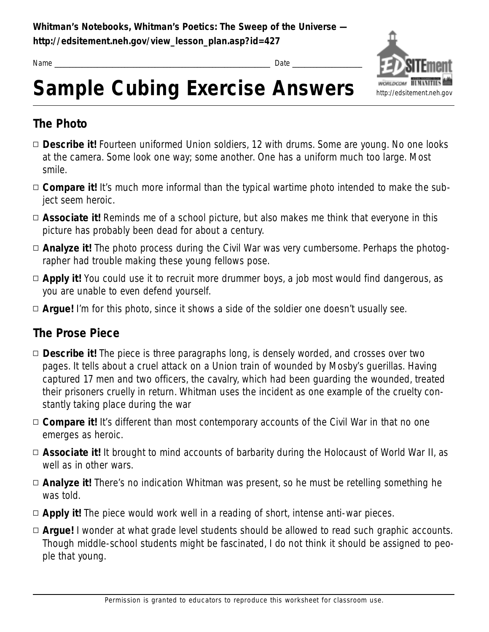

Name \_ \_ \_ \_ \_ \_ \_ \_ \_ \_ \_ \_ \_ \_ \_ \_ \_ \_ \_ \_ \_ \_ \_ \_ \_ \_ \_ \_ \_ \_ \_ \_ \_ \_ \_ \_ \_ \_ \_ \_ \_ \_ \_ \_ \_ \_ \_ \_ \_ \_ \_ \_ \_ \_ \_ \_ \_ \_ \_ \_ \_ \_ \_ \_ \_ \_ \_ \_ \_ \_ \_ Date \_ \_ \_ \_ \_ \_ \_ \_ \_ \_ \_ \_ \_ \_ \_ \_ \_ \_ \_ \_ \_ \_ \_

# Sample Cubing Exercise Answers **Munichalgev**

#### **The Photo**

- □ **Describe it!** Fourteen uniformed Union soldiers, 12 with drums. Some are young. No one looks at the camera. Some look one way; some another. One has a uniform much too large. Most smile.
- □ **Compare it!** It's much more informal than the typical wartime photo intended to make the subject seem heroic.
- □ **Associate it!** Reminds me of a school picture, but also makes me think that everyone in this picture has probably been dead for about a century.
- □ **Analyze it!** The photo process during the Civil War was very cumbersome. Perhaps the photographer had trouble making these young fellows pose.
- □ **Apply it!** You could use it to recruit more drummer boys, a job most would find dangerous, as you are unable to even defend yourself.
- □ **Arque!** I'm for this photo, since it shows a side of the soldier one doesn't usually see.

#### **The Prose Piece**

- **Describe it!** The piece is three paragraphs long, is densely worded, and crosses over two pages. It tells about a cruel attack on a Union train of wounded by Mosby's querillas. Having captured 17 men and two officers, the cavalry, which had been quarding the wounded, treated their prisoners cruelly in return. Whitman uses the incident as one example of the cruelty constantly taking place during the war
- □ **Compare it!** It's different than most contemporary accounts of the Civil War in that no one emerges as heroic.
- □ Associate it! It brought to mind accounts of barbarity during the Holocaust of World War II, as well as in other wars.
- □ **Analyze it!** There's no indication Whitman was present, so he must be retelling something he was told.
- □ **Apply it!** The piece would work well in a reading of short, intense anti-war pieces.
- □ **Argue!** I wonder at what grade level students should be allowed to read such graphic accounts. Though middle-school students might be fascinated, I do not think it should be assigned to people that young.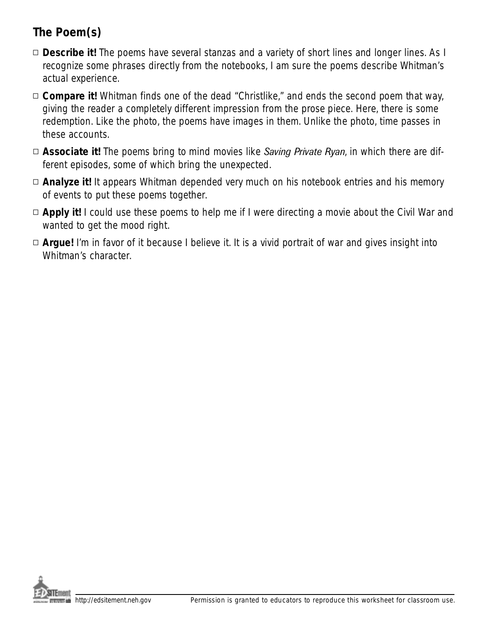### The Poem(s)

- □ **Describe it!** The poems have several stanzas and a variety of short lines and longer lines. As I recognize some phrases directly from the notebooks, I am sure the poems describe Whitman's actual experience.
- □ **Compare it!** Whitman finds one of the dead "Christlike," and ends the second poem that way, giving the reader a completely different impression from the prose piece. Here, there is some redemption. Like the photo, the poems have images in them. Unlike the photo, time passes in these accounts.
- **Associate it!** The poems bring to mind movies like *Saving Private Ryan*, in which there are different episodes, some of which bring the unexpected.
- □ **Analyze it!** It appears Whitman depended very much on his notebook entries and his memory of events to put these poems together.
- □ **Apply it!** I could use these poems to help me if I were directing a movie about the Civil War and wanted to get the mood right.
- □ **Argue!** I'm in favor of it because I believe it. It is a vivid portrait of war and gives insight into Whitman's character.